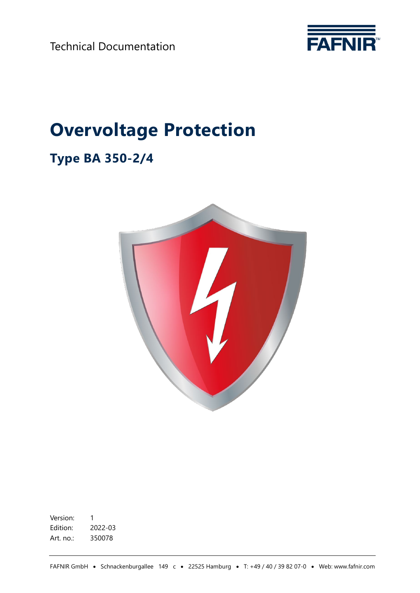Technical Documentation



# **Overvoltage Protection**

# **Type BA 350-2/4**



Version: 1 Edition: 2022-03 Art. no.: 350078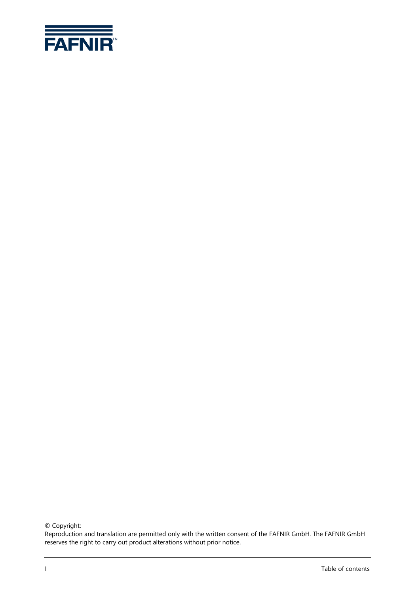

© Copyright:

Reproduction and translation are permitted only with the written consent of the FAFNIR GmbH. The FAFNIR GmbH reserves the right to carry out product alterations without prior notice.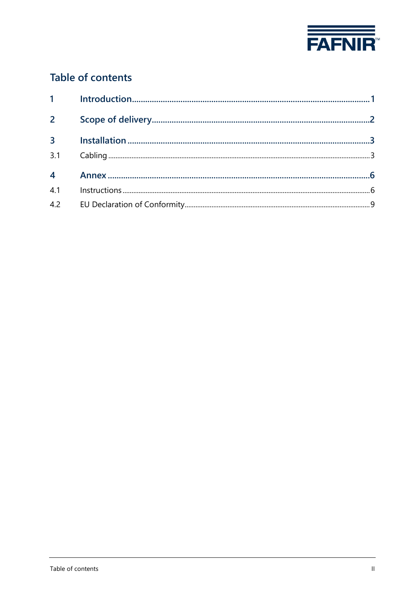

# Table of contents

| $1 -$          |  |
|----------------|--|
| $\overline{2}$ |  |
| 3 <sup>1</sup> |  |
| 3.1            |  |
| $\overline{4}$ |  |
| 4.1            |  |
| 4.2            |  |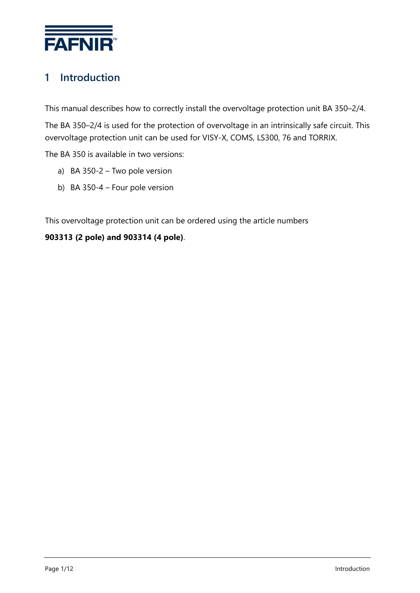

# <span id="page-3-0"></span>**1 Introduction**

This manual describes how to correctly install the overvoltage protection unit BA 350–2/4.

The BA 350–2/4 is used for the protection of overvoltage in an intrinsically safe circuit. This overvoltage protection unit can be used for VISY-X, COMS, LS300, 76 and TORRIX.

The BA 350 is available in two versions:

- a) BA 350-2 Two pole version
- b) BA 350-4 Four pole version

This overvoltage protection unit can be ordered using the article numbers

### **903313 (2 pole) and 903314 (4 pole)**.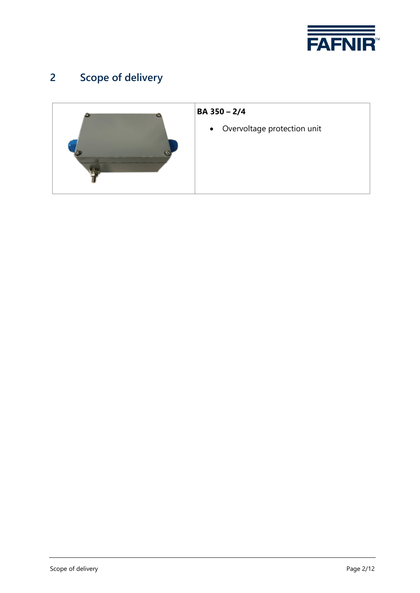

# <span id="page-4-0"></span>**2 Scope of delivery**

| BA 350 - 2/4                  |
|-------------------------------|
| • Overvoltage protection unit |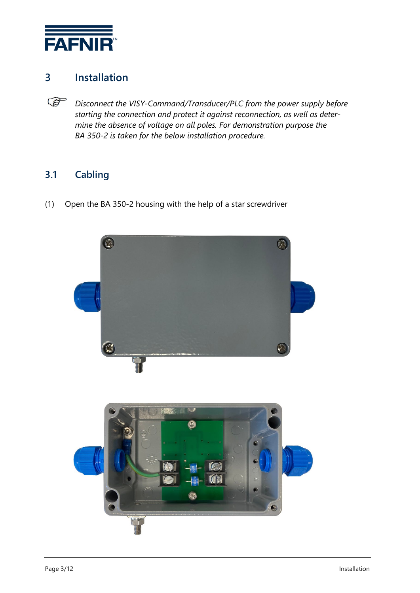

### <span id="page-5-0"></span>**3 Installation**

 $\mathbb{Q}$ *Disconnect the VISY-Command/Transducer/PLC from the power supply before starting the connection and protect it against reconnection, as well as determine the absence of voltage on all poles. For demonstration purpose the BA 350-2 is taken for the below installation procedure.*

# <span id="page-5-1"></span>**3.1 Cabling**

(1) Open the BA 350-2 housing with the help of a star screwdriver

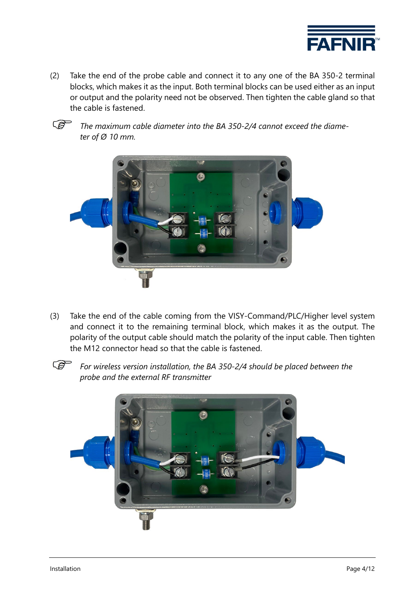

(2) Take the end of the probe cable and connect it to any one of the BA 350-2 terminal blocks, which makes it as the input. Both terminal blocks can be used either as an input or output and the polarity need not be observed. Then tighten the cable gland so that the cable is fastened.



*The maximum cable diameter into the BA 350-2/4 cannot exceed the diameter of Ø 10 mm.*



(3) Take the end of the cable coming from the VISY-Command/PLC/Higher level system and connect it to the remaining terminal block, which makes it as the output. The polarity of the output cable should match the polarity of the input cable. Then tighten the M12 connector head so that the cable is fastened.



*For wireless version installation, the BA 350-2/4 should be placed between the probe and the external RF transmitter* 

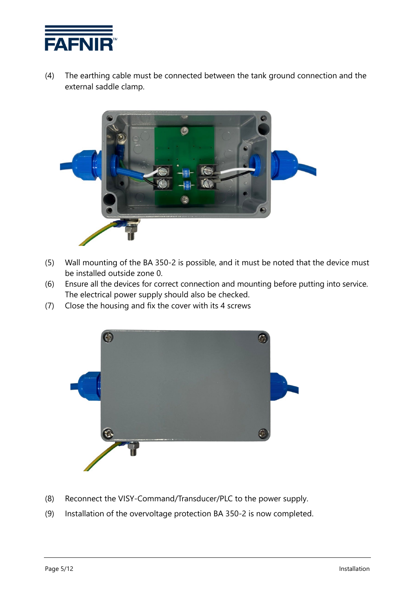

(4) The earthing cable must be connected between the tank ground connection and the external saddle clamp.



- (5) Wall mounting of the BA 350-2 is possible, and it must be noted that the device must be installed outside zone 0.
- (6) Ensure all the devices for correct connection and mounting before putting into service. The electrical power supply should also be checked.
- (7) Close the housing and fix the cover with its 4 screws



- (8) Reconnect the VISY-Command/Transducer/PLC to the power supply.
- (9) Installation of the overvoltage protection BA 350-2 is now completed.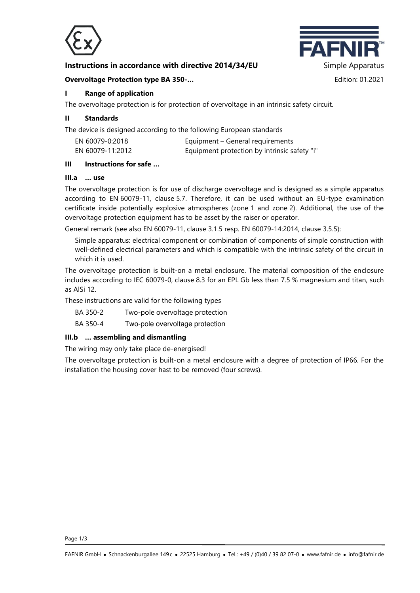

#### **Instructions in accordance with directive 2014/34/EU** Simple Apparatus



#### <span id="page-8-0"></span>**Overvoltage Protection type BA 350-... Edition: 01.2021** Edition: 01.2021

#### <span id="page-8-1"></span>**I Range of application**

The overvoltage protection is for protection of overvoltage in an intrinsic safety circuit.

#### **II Standards**

The device is designed according to the following European standards

| EN 60079-0:2018  | Equipment – General requirements             |
|------------------|----------------------------------------------|
| EN 60079-11:2012 | Equipment protection by intrinsic safety "i" |

#### **III Instructions for safe …**

#### **III.a … use**

The overvoltage protection is for use of discharge overvoltage and is designed as a simple apparatus according to EN 60079-11, clause 5.7. Therefore, it can be used without an EU-type examination certificate inside potentially explosive atmospheres (zone 1 and zone 2). Additional, the use of the overvoltage protection equipment has to be asset by the raiser or operator.

General remark (see also EN 60079-11, clause 3.1.5 resp. EN 60079-14:2014, clause 3.5.5):

Simple apparatus: electrical component or combination of components of simple construction with well-defined electrical parameters and which is compatible with the intrinsic safety of the circuit in which it is used.

The overvoltage protection is built-on a metal enclosure. The material composition of the enclosure includes according to IEC 60079-0, clause 8.3 for an EPL Gb less than 7.5 % magnesium and titan, such as AlSi 12.

These instructions are valid for the following types

BA 350-2 Two-pole overvoltage protection

BA 350-4 Two-pole overvoltage protection

#### **III.b … assembling and dismantling**

The wiring may only take place de-energised!

The overvoltage protection is built-on a metal enclosure with a degree of protection of IP66. For the installation the housing cover hast to be removed (four screws).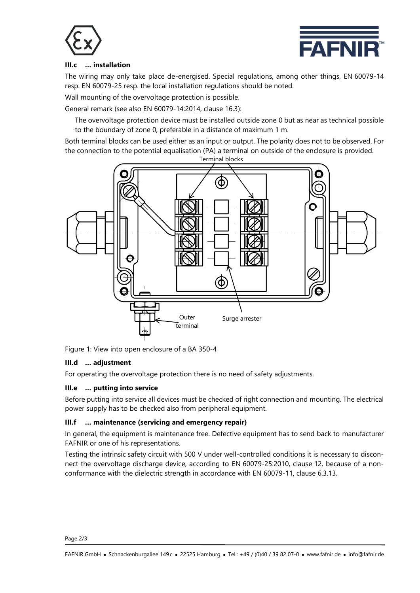



#### **III.c … installation**

The wiring may only take place de-energised. Special regulations, among other things, EN 60079-14 resp. EN 60079-25 resp. the local installation regulations should be noted.

Wall mounting of the overvoltage protection is possible.

General remark (see also EN 60079-14:2014, clause 16.3):

The overvoltage protection device must be installed outside zone 0 but as near as technical possible to the boundary of zone 0, preferable in a distance of maximum 1 m.

Both terminal blocks can be used either as an input or output. The polarity does not to be observed. For the connection to the potential equalisation (PA) a terminal on outside of the enclosure is provided.



Figure 1: View into open enclosure of a BA 350-4

#### **III.d … adjustment**

For operating the overvoltage protection there is no need of safety adjustments.

#### **III.e … putting into service**

Before putting into service all devices must be checked of right connection and mounting. The electrical power supply has to be checked also from peripheral equipment.

#### **III.f … maintenance (servicing and emergency repair)**

In general, the equipment is maintenance free. Defective equipment has to send back to manufacturer FAFNIR or one of his representations.

Testing the intrinsic safety circuit with 500 V under well-controlled conditions it is necessary to disconnect the overvoltage discharge device, according to EN 60079-25:2010, clause 12, because of a nonconformance with the dielectric strength in accordance with EN 60079-11, clause 6.3.13.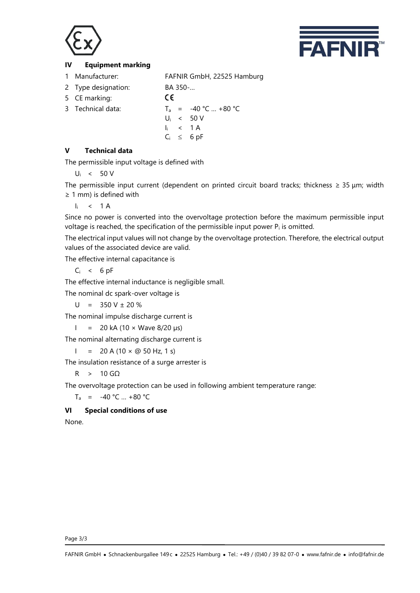



#### **Equipment marking**

|  | 1 Manufacturer: | FAFNIR GmbH, 22525 Hamburg |
|--|-----------------|----------------------------|
|--|-----------------|----------------------------|

- 2 Type designation: BA 350-…
- 5 CE marking:
- 3 Technical data:  $T_a = -40 \degree C ... +80 \degree C$
- $\epsilon$  $U_i$  < 50 V  $I_i \leq 1A$  $C_i \leq 6$  pF

#### **V Technical data**

The permissible input voltage is defined with

 $U_i$  < 50 V

The permissible input current (dependent on printed circuit board tracks; thickness  $\geq 35$  µm; width ≥ 1 mm) is defined with

 $I_i \leq 1A$ 

Since no power is converted into the overvoltage protection before the maximum permissible input voltage is reached, the specification of the permissible input power  $P_i$  is omitted.

The electrical input values will not change by the overvoltage protection. Therefore, the electrical output values of the associated device are valid.

The effective internal capacitance is

 $C_i$  < 6 pF

The effective internal inductance is negligible small.

The nominal dc spark-over voltage is

 $U = 350 V \pm 20 \%$ 

The nominal impulse discharge current is

 $I = 20 kA (10 \times Wave 8/20 \mu s)$ 

The nominal alternating discharge current is

 $I = 20 A (10 \times \textcircled{a} 50 Hz, 1 s)$ 

The insulation resistance of a surge arrester is

 $R > 10$  G $\Omega$ 

The overvoltage protection can be used in following ambient temperature range:

 $T_a$  = -40 °C ... +80 °C

#### **VI Special conditions of use**

None.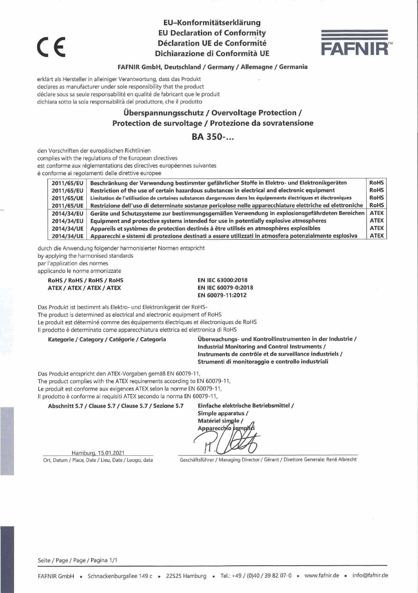**EU-Konformitätserklärung EU Declaration of Conformity Déclaration UE de Conformité Déclaration UE de Conformité**<br>Dichiarazione di Conformità UE **FAFNI** 



#### FAFNIR GmbH, Deutschland / Germany / Allemagne / Germania

<span id="page-11-0"></span>erklärt als Hersteller in alleiniger Verantwortung, dass das Produkt declares as manufacturer under sole responsibility that the product déclare sous sa seule responsabilité en qualité de fabricant que le produit dichiara sotto la sola responsabilitä del produttore, che il prodotto

### **Überspannungsschutz / Overvoltage Protection / Protection de survoltage / Protezione da sovratensione**

**B A 350-...**

den Vorschriften der europäischen Richtlinien

complies with the regulations of the European directives

est conforme aux réglementations des directives européennes suivantes

è conforme ai regolamenti delle direttive europee

| 2011/65/EU | Beschränkung der Verwendung bestimmter gefährlicher Stoffe in Elektro- und Elektronikgeräten                      | <b>RoHS</b> |
|------------|-------------------------------------------------------------------------------------------------------------------|-------------|
| 2011/65/EU | Restriction of the use of certain hazardous substances in electrical and electronic equipment                     | <b>RoHS</b> |
| 2011/65/UE | Limitation de l'utilisation de certaines substances dangereuses dans les équipements électriques et électroniques | <b>RoHS</b> |
| 2011/65/UE | Restrizione dell'uso di determinate sostanze pericolose nelle apparecchiature elettriche ed elettroniche          | <b>RoHS</b> |
| 2014/34/EU | Geräte und Schutzsysteme zur bestimmungsgemäßen Verwendung in explosionsgefährdeten Bereichen                     | <b>ATEX</b> |
| 2014/34/EU | Equipment and protective systems intended for use in potentially explosive atmospheres                            | <b>ATEX</b> |
| 2014/34/UE | Appareils et systèmes de protection destinés à être utilisés en atmosphères explosibles                           | <b>ATEX</b> |
| 2014/34/UE | Apparecchi e sistemi di protezione destinati a essere utilizzati in atmosfera potenzialmente esplosiva            | <b>ATEX</b> |

durch die Anwendung folgender harmonisierter Normen entspricht by applying the harmonised standards par l'application des normes applicando le norme armonizzate

**R o H S / R o H S / R o H S / R o H S E N IE C 63000:2018 A T E X / A T E X / A T E X / A T E X E N IE C 60079-0:2018**

**E N 60079-11:2012**

Das Produkt ist bestimmt als Elektro- und Elektronikgerät der RoHS-The product is determined as electrical and electronic equipment of RoHS Le produit est déterminé comme des équipements électriques et électroniques de RoHS

Il prodotto è determinato come apparecchiatura elettrica ed elettronica di RoHS

**K atego rie / C ateg o ry / C ateg orie / C ateg oria Ü b erw achu n g s- u n d K o n tro llin stru m en ten in d er In du strie / Industrial Monitoring and Control Instruments / In stru m en ts d e co n trö le et d e su rveillan ce in d ustriels / S tru m en ti d i m o nito ragg io e co n tro llo in d ustrial!**

Das Produkt entspricht den ATEX-Vorgaben gemäß EN 60079-11, The product complies with the ATEX requirements according to EN 60079-11, Le produit est conforme aux exigences ATEX selon la norme EN 60079-11, Il prodotto è conforme ai requisiti ATEX secondo la norma EN 60079-11,

**A b sch nitt 5.7 / C lause 5.7 / C lause 5.7 / S ezio ne 5.7 E in fach e elektrische B etriebsm ittel /**

**Simple apparatus /** Matériel simple / Apparecchio semplie

Hamburg, 15.01.2021

Ort, Datum / Place, Date / Lieu, Date / Luogo, data Geschäftsführer / Managing Director / Gérant / Direttore Generale: René Albrecht

Seite / Page / Page / Pagina 1/1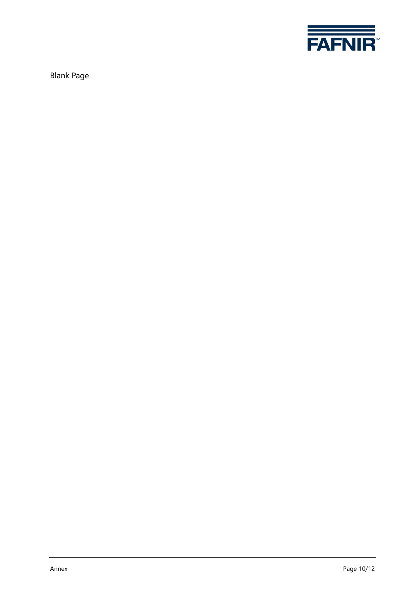

Blank Page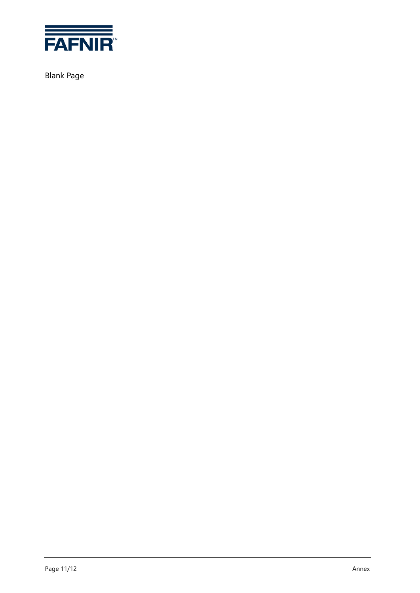

Blank Page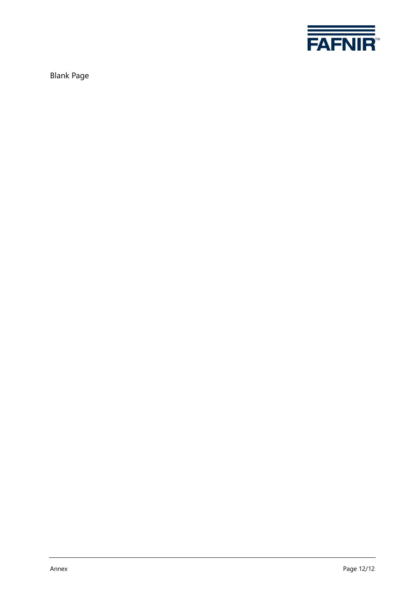

Blank Page